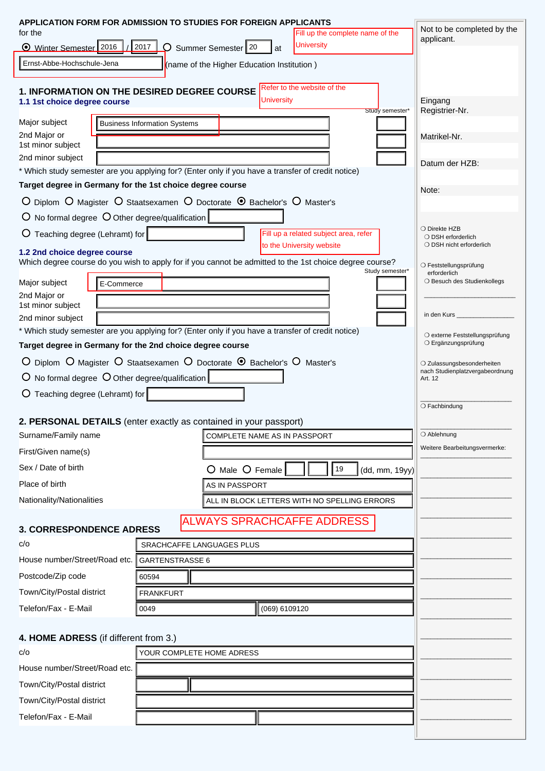|                                          | APPLICATION FORM FOR ADMISSION TO STUDIES FOR FOREIGN APPLICANTS                                        | Not to be completed by the                            |
|------------------------------------------|---------------------------------------------------------------------------------------------------------|-------------------------------------------------------|
| for the<br>◯ Winter Semester 2016 / 2017 | Fill up the complete name of the<br><b>University</b>                                                   | applicant.                                            |
|                                          | $\mathcal{Q}$ Summer Semester 20<br>at                                                                  |                                                       |
| Ernst-Abbe-Hochschule-Jena               | (name of the Higher Education Institution)                                                              |                                                       |
|                                          | Refer to the website of the<br>1. INFORMATION ON THE DESIRED DEGREE COURSE                              |                                                       |
| 1.1 1st choice degree course             | <b>University</b><br>Study semester*                                                                    | Eingang<br>Registrier-Nr.                             |
| Major subject                            | <b>Business Information Systems</b>                                                                     |                                                       |
| 2nd Major or                             |                                                                                                         | Matrikel-Nr.                                          |
| 1st minor subject<br>2nd minor subject   |                                                                                                         |                                                       |
|                                          | * Which study semester are you applying for? (Enter only if you have a transfer of credit notice)       | Datum der HZB:                                        |
|                                          | Target degree in Germany for the 1st choice degree course                                               | Note:                                                 |
|                                          | O Diplom O Magister O Staatsexamen O Doctorate <sup>O</sup> Bachelor's O Master's                       |                                                       |
|                                          | $\overline{O}$ No formal degree $\overline{O}$ Other degree/qualification                               |                                                       |
| O Teaching degree (Lehramt) for          | Fill up a related subject area, refer                                                                   | ○ Direkte HZB<br>O DSH erforderlich                   |
| 1.2 2nd choice degree course             | to the University website                                                                               | O DSH nicht erforderlich                              |
|                                          | Which degree course do you wish to apply for if you cannot be admitted to the 1st choice degree course? | O Feststellungsprüfung                                |
| Major subject                            | Study semester*<br>E-Commerce                                                                           | erforderlich<br>O Besuch des Studienkollegs           |
| 2nd Major or                             |                                                                                                         |                                                       |
| 1st minor subject                        |                                                                                                         | in den Kurs                                           |
| 2nd minor subject                        | * Which study semester are you applying for? (Enter only if you have a transfer of credit notice)       |                                                       |
|                                          | Target degree in Germany for the 2nd choice degree course                                               | O externe Feststellungsprüfung<br>O Ergänzungsprüfung |
|                                          | O Diplom O Magister O Staatsexamen O Doctorate <sup>O</sup> Bachelor's O Master's                       | O Zulassungsbesonderheiten                            |
|                                          | $\overline{O}$ No formal degree $\overline{O}$ Other degree/qualification                               | nach Studienplatzvergabeordnung<br>Art. 12            |
| O Teaching degree (Lehramt) for          |                                                                                                         |                                                       |
|                                          |                                                                                                         | O Fachbindung                                         |
|                                          | 2. PERSONAL DETAILS (enter exactly as contained in your passport)                                       |                                                       |
| Surname/Family name                      | COMPLETE NAME AS IN PASSPORT                                                                            | O Ablehnung                                           |
| First/Given name(s)                      |                                                                                                         | Weitere Bearbeitungsvermerke:                         |
| Sex / Date of birth                      | O Male O Female<br>19<br>(dd, mm, 19yy)                                                                 |                                                       |
| Place of birth                           | <b>AS IN PASSPORT</b>                                                                                   |                                                       |
| Nationality/Nationalities                | ALL IN BLOCK LETTERS WITH NO SPELLING ERRORS                                                            |                                                       |
|                                          | <b>ALWAYS SPRACHCAFFE ADDRESS</b>                                                                       |                                                       |
| <b>3. CORRESPONDENCE ADRESS</b>          |                                                                                                         |                                                       |
| C/O                                      | SRACHCAFFE LANGUAGES PLUS                                                                               |                                                       |
| House number/Street/Road etc.            | GARTENSTRASSE 6                                                                                         |                                                       |
| Postcode/Zip code                        | 60594                                                                                                   |                                                       |
| Town/City/Postal district                | <b>FRANKFURT</b>                                                                                        |                                                       |
| Telefon/Fax - E-Mail                     | (069) 6109120<br>0049                                                                                   |                                                       |
|                                          |                                                                                                         |                                                       |
| C/O                                      | 4. HOME ADRESS (if different from 3.)<br>YOUR COMPLETE HOME ADRESS                                      |                                                       |
| House number/Street/Road etc.            |                                                                                                         |                                                       |
| Town/City/Postal district                |                                                                                                         |                                                       |
| Town/City/Postal district                |                                                                                                         |                                                       |
|                                          |                                                                                                         |                                                       |
| Telefon/Fax - E-Mail                     |                                                                                                         |                                                       |
|                                          |                                                                                                         |                                                       |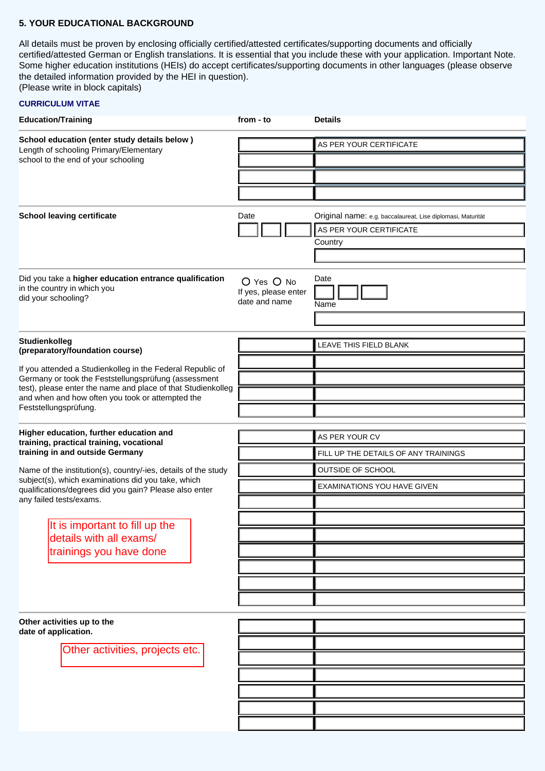#### **5. YOUR EDUCATIONAL BACKGROUND**

All details must be proven by enclosing officially certified/attested certificates/supporting documents and officially certified/attested German or English translations. It is essential that you include these with your application. Important Note. Some higher education institutions (HEIs) do accept certificates/supporting documents in other languages (please observe the detailed information provided by the HEI in question).

(Please write in block capitals)

# **CURRICULUM VITAE**

| <b>Education/Training</b>                                                                                                                                                                           |  | from - to                                           | <b>Details</b>                                              |  |
|-----------------------------------------------------------------------------------------------------------------------------------------------------------------------------------------------------|--|-----------------------------------------------------|-------------------------------------------------------------|--|
| School education (enter study details below)<br>Length of schooling Primary/Elementary<br>school to the end of your schooling                                                                       |  |                                                     | AS PER YOUR CERTIFICATE                                     |  |
|                                                                                                                                                                                                     |  |                                                     |                                                             |  |
|                                                                                                                                                                                                     |  |                                                     |                                                             |  |
|                                                                                                                                                                                                     |  |                                                     |                                                             |  |
| <b>School leaving certificate</b>                                                                                                                                                                   |  | Date                                                | Original name: e.g. baccalaureat, Lise diplomasi, Maturität |  |
|                                                                                                                                                                                                     |  |                                                     | AS PER YOUR CERTIFICATE                                     |  |
|                                                                                                                                                                                                     |  |                                                     | Country                                                     |  |
|                                                                                                                                                                                                     |  |                                                     |                                                             |  |
| Did you take a higher education entrance qualification<br>in the country in which you<br>did your schooling?                                                                                        |  | O Yes O No<br>If yes, please enter<br>date and name | Date<br>Name                                                |  |
|                                                                                                                                                                                                     |  |                                                     |                                                             |  |
| Studienkolleg<br>(preparatory/foundation course)<br>If you attended a Studienkolleg in the Federal Republic of                                                                                      |  |                                                     | LEAVE THIS FIELD BLANK                                      |  |
|                                                                                                                                                                                                     |  |                                                     |                                                             |  |
| Germany or took the Feststellungsprüfung (assessment                                                                                                                                                |  |                                                     |                                                             |  |
| test), please enter the name and place of that Studienkolleg<br>and when and how often you took or attempted the                                                                                    |  |                                                     |                                                             |  |
| Feststellungsprüfung.                                                                                                                                                                               |  |                                                     |                                                             |  |
| Higher education, further education and                                                                                                                                                             |  |                                                     | AS PER YOUR CV                                              |  |
| training, practical training, vocational<br>training in and outside Germany<br>Name of the institution(s), country/-ies, details of the study<br>subject(s), which examinations did you take, which |  |                                                     | FILL UP THE DETAILS OF ANY TRAININGS                        |  |
|                                                                                                                                                                                                     |  |                                                     | OUTSIDE OF SCHOOL                                           |  |
|                                                                                                                                                                                                     |  |                                                     | <b>EXAMINATIONS YOU HAVE GIVEN</b>                          |  |
| qualifications/degrees did you gain? Please also enter<br>any failed tests/exams.                                                                                                                   |  |                                                     |                                                             |  |
|                                                                                                                                                                                                     |  |                                                     |                                                             |  |
| It is important to fill up the<br>details with all exams/                                                                                                                                           |  |                                                     |                                                             |  |
| trainings you have done                                                                                                                                                                             |  |                                                     |                                                             |  |
|                                                                                                                                                                                                     |  |                                                     |                                                             |  |
|                                                                                                                                                                                                     |  |                                                     |                                                             |  |
|                                                                                                                                                                                                     |  |                                                     |                                                             |  |
| Other activities up to the                                                                                                                                                                          |  |                                                     |                                                             |  |
| date of application.                                                                                                                                                                                |  |                                                     |                                                             |  |
| Other activities, projects etc.                                                                                                                                                                     |  |                                                     |                                                             |  |
|                                                                                                                                                                                                     |  |                                                     |                                                             |  |
|                                                                                                                                                                                                     |  |                                                     |                                                             |  |
|                                                                                                                                                                                                     |  |                                                     |                                                             |  |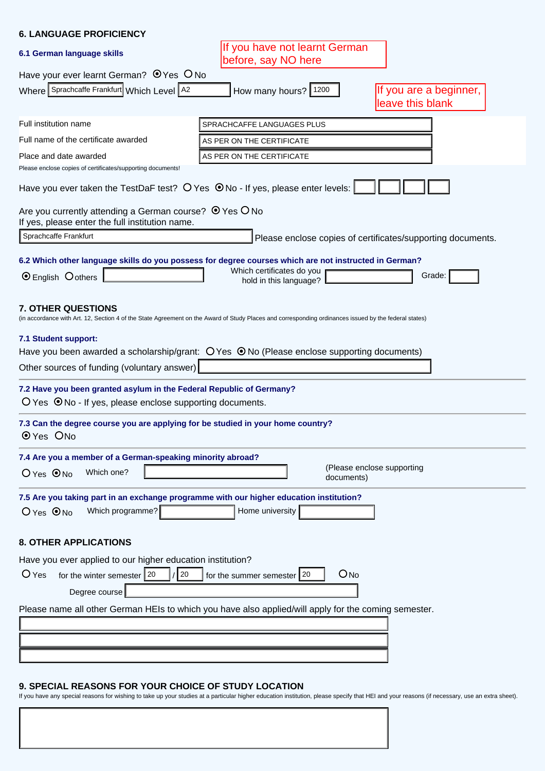# **6. LANGUAGE PROFICIENCY**

| <u>ט. בהוזטטהטב ו ווטו וטובוזט</u>                                                                                                                                                 |                                                      |                                                             |
|------------------------------------------------------------------------------------------------------------------------------------------------------------------------------------|------------------------------------------------------|-------------------------------------------------------------|
| 6.1 German language skills                                                                                                                                                         | If you have not learnt German<br>before, say NO here |                                                             |
| Have your ever learnt German? $\bullet$ Yes $\circ$ No                                                                                                                             |                                                      |                                                             |
| Where Sprachcaffe Frankfurt Which Level A2                                                                                                                                         | How many hours? 1200                                 | If you are a beginner,<br>leave this blank                  |
| Full institution name                                                                                                                                                              | SPRACHCAFFE LANGUAGES PLUS                           |                                                             |
| Full name of the certificate awarded                                                                                                                                               | AS PER ON THE CERTIFICATE                            |                                                             |
| Place and date awarded                                                                                                                                                             | AS PER ON THE CERTIFICATE                            |                                                             |
| Please enclose copies of certificates/supporting documents!                                                                                                                        |                                                      |                                                             |
| Have you ever taken the TestDaF test? $\bigcirc$ Yes $\bigcirc$ No - If yes, please enter levels:                                                                                  |                                                      |                                                             |
| Are you currently attending a German course? $\bullet$ Yes O No<br>If yes, please enter the full institution name.                                                                 |                                                      |                                                             |
| Sprachcaffe Frankfurt                                                                                                                                                              |                                                      | Please enclose copies of certificates/supporting documents. |
| 6.2 Which other language skills do you possess for degree courses which are not instructed in German?<br>$\odot$ English $\odot$ others                                            | Which certificates do you<br>hold in this language?  | Grade:                                                      |
| <b>7. OTHER QUESTIONS</b><br>(in accordance with Art. 12, Section 4 of the State Agreement on the Award of Study Places and corresponding ordinances issued by the federal states) |                                                      |                                                             |
| 7.1 Student support:                                                                                                                                                               |                                                      |                                                             |
| Have you been awarded a scholarship/grant: $O$ Yes $\Theta$ No (Please enclose supporting documents)                                                                               |                                                      |                                                             |
| Other sources of funding (voluntary answer)                                                                                                                                        |                                                      |                                                             |
| 7.2 Have you been granted asylum in the Federal Republic of Germany?<br>$O$ Yes $\Theta$ No - If yes, please enclose supporting documents.                                         |                                                      |                                                             |
| 7.3 Can the degree course you are applying for be studied in your home country?<br>O Yes ONo                                                                                       |                                                      |                                                             |
| 7.4 Are you a member of a German-speaking minority abroad?<br>Which one?<br>$O$ Yes $\odot$ No                                                                                     | documents)                                           | (Please enclose supporting                                  |
| 7.5 Are you taking part in an exchange programme with our higher education institution?<br>Which programme?<br>$O$ Yes $\odot$ No                                                  | Home university                                      |                                                             |
| <b>8. OTHER APPLICATIONS</b>                                                                                                                                                       |                                                      |                                                             |
| Have you ever applied to our higher education institution?                                                                                                                         |                                                      |                                                             |
| $O$ Yes<br>$\sqrt{20}$<br>for the winter semester $\sqrt{20}$<br>Degree course                                                                                                     | O <sub>No</sub><br>for the summer semester 20        |                                                             |
| Please name all other German HEIs to which you have also applied/will apply for the coming semester.                                                                               |                                                      |                                                             |
|                                                                                                                                                                                    |                                                      |                                                             |
|                                                                                                                                                                                    |                                                      |                                                             |
|                                                                                                                                                                                    |                                                      |                                                             |
|                                                                                                                                                                                    |                                                      |                                                             |

## **9. SPECIAL REASONS FOR YOUR CHOICE OF STUDY LOCATION**

If you have any special reasons for wishing to take up your studies at a particular higher education institution, please specify that HEI and your reasons (if necessary, use an extra sheet).